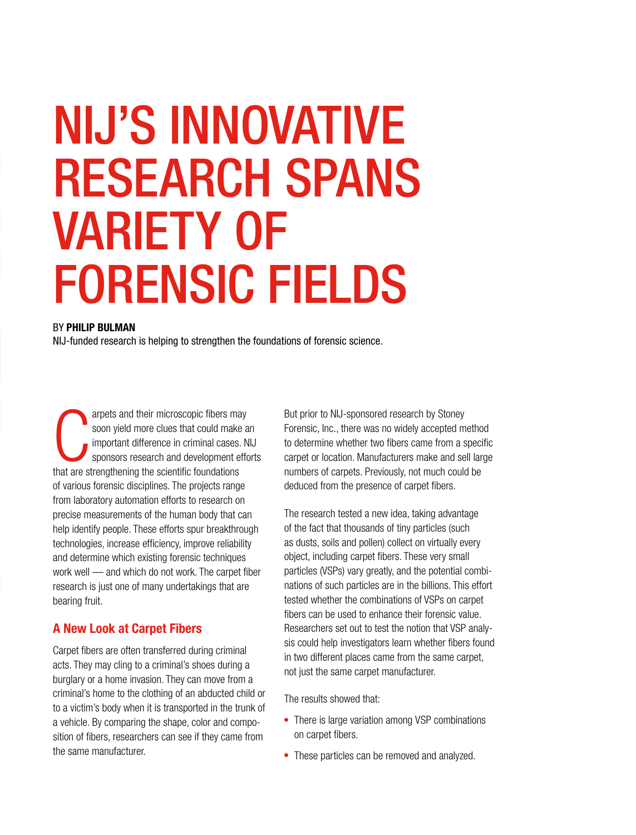# NIJ'S INNOVATIVE RESEARCH SPANS VARIETY OF FORENSIC FIELDS

#### BY PHILIP BULMAN

NIJ-funded research is helping to strengthen the foundations of forensic science.

arpets and their microscopic fibers ma<br>soon yield more clues that could make<br>important difference in criminal cases.<br>sponsors research and development e<br>that are strengthening the scientific foundations arpets and their microscopic fibers may soon yield more clues that could make an important difference in criminal cases. NIJ sponsors research and development efforts of various forensic disciplines. The projects range from laboratory automation efforts to research on precise measurements of the human body that can help identify people. These efforts spur breakthrough technologies, increase efficiency, improve reliability and determine which existing forensic techniques work well — and which do not work. The carpet fiber research is just one of many undertakings that are bearing fruit.

### A New Look at Carpet Fibers

Carpet fibers are often transferred during criminal acts. They may cling to a criminal's shoes during a burglary or a home invasion. They can move from a criminal's home to the clothing of an abducted child or to a victim's body when it is transported in the trunk of a vehicle. By comparing the shape, color and composition of fibers, researchers can see if they came from the same manufacturer.

But prior to NIJ-sponsored research by Stoney Forensic, Inc., there was no widely accepted method to determine whether two fibers came from a specific carpet or location. Manufacturers make and sell large numbers of carpets. Previously, not much could be deduced from the presence of carpet fibers.

The research tested a new idea, taking advantage of the fact that thousands of tiny particles (such as dusts, soils and pollen) collect on virtually every object, including carpet fibers. These very small particles (VSPs) vary greatly, and the potential combinations of such particles are in the billions. This effort tested whether the combinations of VSPs on carpet fibers can be used to enhance their forensic value. Researchers set out to test the notion that VSP analysis could help investigators learn whether fibers found in two different places came from the same carpet, not just the same carpet manufacturer.

The results showed that:

- There is large variation among VSP combinations on carpet fibers.
- These particles can be removed and analyzed.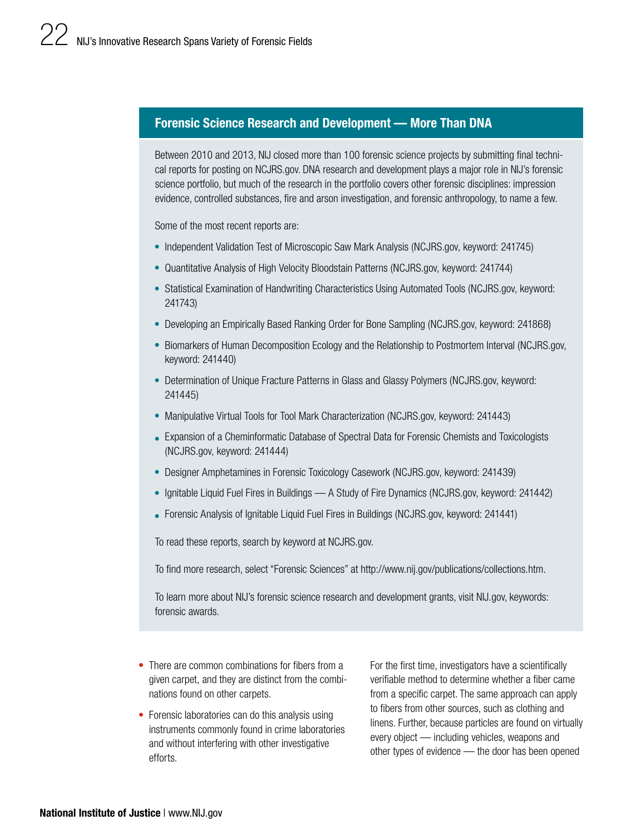## Forensic Science Research and Development — More Than DNA

Between 2010 and 2013, NIJ closed more than 100 forensic science projects by submitting final techni[cal reports for posting on NCJRS.gov. DNA research and development plays a major role in NIJ's forensic](http://www.nij.gov/publications/collections.htm)  science portfolio, but much of the research in the portfolio covers other forensic disciplines: impression evidence, controlled substances, fire and arson investigation, and forensic anthropology, to name a few.

Some of the most recent reports are:

- Independent Validation Test of Microscopic Saw Mark Analysis ([NCJRS.gov,](https://ncjrs.gov) keyword: 241745)
- Quantitative Analysis of High Velocity Bloodstain Patterns ([NCJRS.gov,](https://ncjrs.gov) keyword: 241744)
- Statistical Examination of Handwriting Characteristics Using Automated Tools ([NCJRS.gov](https://ncjrs.gov), keyword: 241743)
- Developing an Empirically Based Ranking Order for Bone Sampling ([NCJRS.gov,](https://ncjrs.gov) keyword: 241868)
- Biomarkers of Human Decomposition Ecology and the Relationship to Postmortem Interval ([NCJRS.gov,](https://ncjrs.gov) keyword: 241440)
- Determination of Unique Fracture Patterns in Glass and Glassy Polymers ([NCJRS.gov](https://ncjrs.gov), keyword: 241445)
- Manipulative Virtual Tools for Tool Mark Characterization ([NCJRS.gov,](https://ncjrs.gov) keyword: 241443)
- Expansion of a Cheminformatic Database of Spectral Data for Forensic Chemists and Toxicologists ([NCJRS.gov,](https://ncjrs.gov) keyword: 241444)
- Designer Amphetamines in Forensic Toxicology Casework ([NCJRS.gov,](https://ncjrs.gov) keyword: 241439)
- Ignitable Liquid Fuel Fires in Buildings A Study of Fire Dynamics ([NCJRS.gov](https://ncjrs.gov), keyword: 241442)
- Forensic Analysis of Ignitable Liquid Fuel Fires in Buildings [\(NCJRS.gov,](https://ncjrs.gov) keyword: 241441)

To read these reports, search by keyword at [NCJRS.gov](https://ncjrs.gov).

To find more research, select "Forensic Sciences" at <http://www.nij.gov/publications/collections.htm>.

To learn more about NIJ's forensic science research and development grants, visit [NIJ.gov](http://www.nij.gov), keywords: forensic awards.

- There are common combinations for fibers from a given carpet, and they are distinct from the combinations found on other carpets.
- Forensic laboratories can do this analysis using instruments commonly found in crime laboratories and without interfering with other investigative efforts.

For the first time, investigators have a scientifically verifiable method to determine whether a fiber came from a specific carpet. The same approach can apply to fibers from other sources, such as clothing and linens. Further, because particles are found on virtually every object — including vehicles, weapons and other types of evidence — the door has been opened